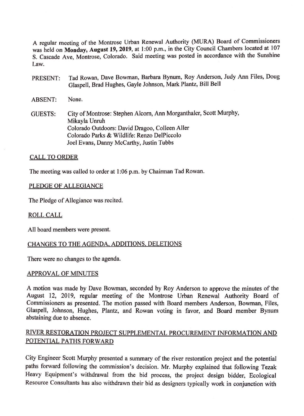A regular meeting of the Montrose Urban Renewal Authority (MURA) Board of Commissioners was held on Monday, August 19, 2019, at 1:00 p.m., in the City Council Chambers located at 107 S. Cascade Ave, Montrose, Colorado. Said meeting was posted in accordance with the Sunshine Law.

- PRESENT: Tad Rowan, Dave Bowman, Barbara Bynum, Roy Anderson, Judy Ann Files, Doug Glaspell, Brad Hughes, Gayle Johnson, Mark Plantz, Bill Bell
- ABSENT: None.
- GUESTS: City of Montrose: Stephen Alcorn, Ann Morganthaler, Scott Murphy, Mikayla Unruh Colorado Outdoors: David Dragoo, Colleen Aller Colorado Parks & Wildlife: Renzo DelPiccolo Joel Evans, Danny McCarthy, Justin Tubbs

# CALL TO ORDER

The meeting was called to order at I :06 p.m. by Chairman Tad Rowan.

# PLEDGE OF ALLEGIANCE

The Pledge of Allegiance was recited.

## ROLLCALL

All board members were present.

# CHANGES TO THE AGENDA, ADDITIONS, DELETIONS

There were no changes to the agenda.

# APPROVAL OF MINUTES

A motion was made by Dave Bowman, seconded by Roy Anderson to approve the minutes of the August 12, 2019, regular meeting of the Montrose Urban Renewal Authority Board of Commissioners as presented. The motion passed with Board members Anderson, Bowman, Files, Glaspell, Johnson, Hughes, Plantz, and Rowan voting in favor, and Board member Bynum abstaining due to absence.

# RIVER RESTORATION PROJECT SUPPLEMENTAL PROCUREMENT INFORMATION AND POTENTIAL PATHS FORWARD

City Engineer Scott Murphy presented a summary of the river restoration project and the potential paths forward following the commission's decision. Mr. Murphy explained that following Tezak Heavy Equipment's withdrawal from the bid process, the project design bidder, Ecological Resource Consultants has also withdrawn their bid as designers typically work in conjunction with